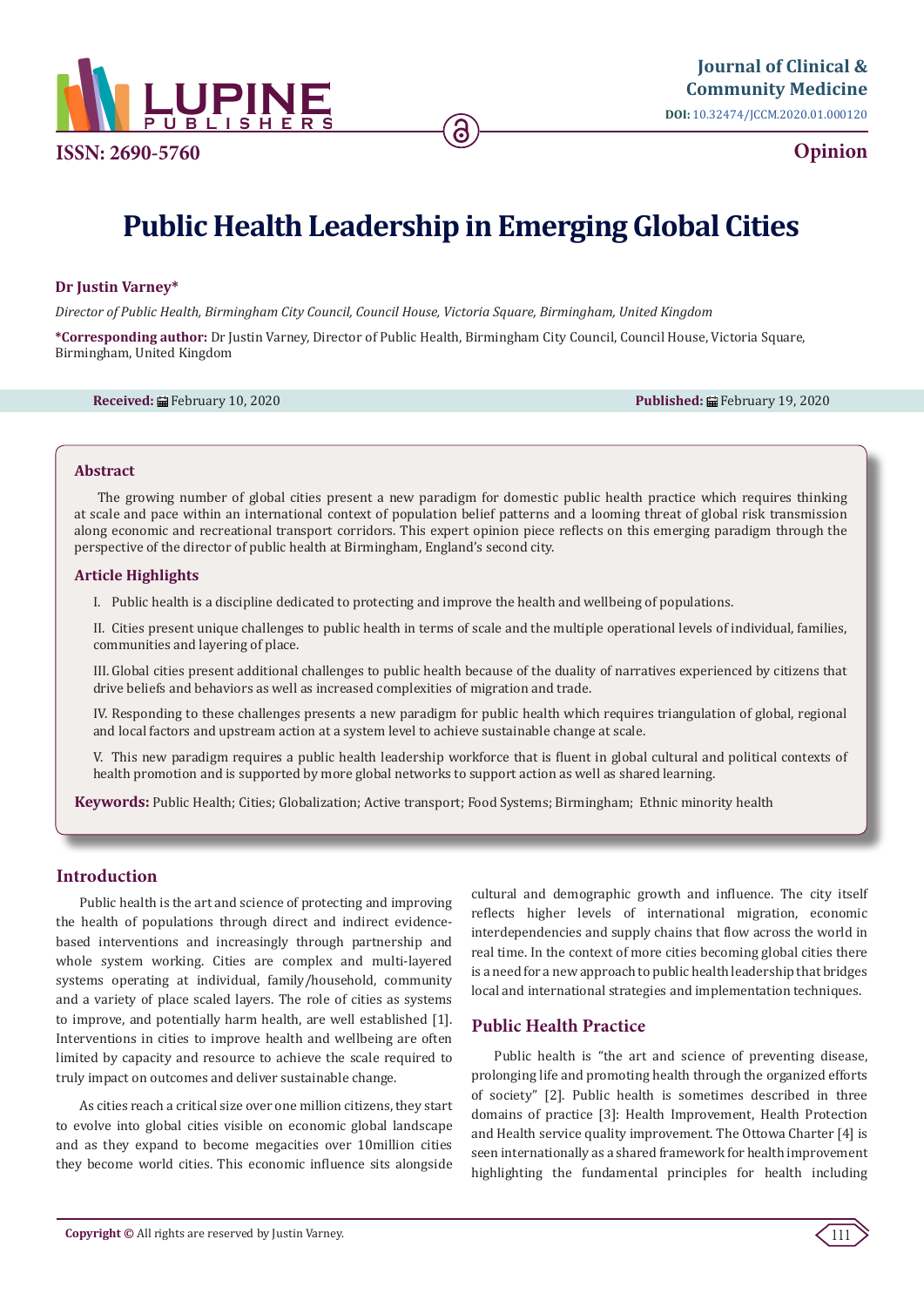

**Opinion**

# **Public Health Leadership in Emerging Global Cities**

## **Dr Justin Varney\***

*Director of Public Health, Birmingham City Council, Council House, Victoria Square, Birmingham, United Kingdom* 

**\*Corresponding author:** Dr Justin Varney, Director of Public Health, Birmingham City Council, Council House, Victoria Square, Birmingham, United Kingdom

**Received:** February 10, 2020 **Published:** February 19, 2020

#### **Abstract**

The growing number of global cities present a new paradigm for domestic public health practice which requires thinking at scale and pace within an international context of population belief patterns and a looming threat of global risk transmission along economic and recreational transport corridors. This expert opinion piece reflects on this emerging paradigm through the perspective of the director of public health at Birmingham, England's second city.

#### **Article Highlights**

I. Public health is a discipline dedicated to protecting and improve the health and wellbeing of populations.

II. Cities present unique challenges to public health in terms of scale and the multiple operational levels of individual, families, communities and layering of place.

III. Global cities present additional challenges to public health because of the duality of narratives experienced by citizens that drive beliefs and behaviors as well as increased complexities of migration and trade.

IV. Responding to these challenges presents a new paradigm for public health which requires triangulation of global, regional and local factors and upstream action at a system level to achieve sustainable change at scale.

V. This new paradigm requires a public health leadership workforce that is fluent in global cultural and political contexts of health promotion and is supported by more global networks to support action as well as shared learning.

**Keywords:** Public Health; Cities; Globalization; Active transport; Food Systems; Birmingham; Ethnic minority health

## **Introduction**

Public health is the art and science of protecting and improving the health of populations through direct and indirect evidencebased interventions and increasingly through partnership and whole system working. Cities are complex and multi-layered systems operating at individual, family/household, community and a variety of place scaled layers. The role of cities as systems to improve, and potentially harm health, are well established [1]. Interventions in cities to improve health and wellbeing are often limited by capacity and resource to achieve the scale required to truly impact on outcomes and deliver sustainable change.

As cities reach a critical size over one million citizens, they start to evolve into global cities visible on economic global landscape and as they expand to become megacities over 10million cities they become world cities. This economic influence sits alongside cultural and demographic growth and influence. The city itself reflects higher levels of international migration, economic interdependencies and supply chains that flow across the world in real time. In the context of more cities becoming global cities there is a need for a new approach to public health leadership that bridges local and international strategies and implementation techniques.

## **Public Health Practice**

Public health is "the art and science of preventing disease, prolonging life and promoting health through the organized efforts of society" [2]. Public health is sometimes described in three domains of practice [3]: Health Improvement, Health Protection and Health service quality improvement. The Ottowa Charter [4] is seen internationally as a shared framework for health improvement highlighting the fundamental principles for health including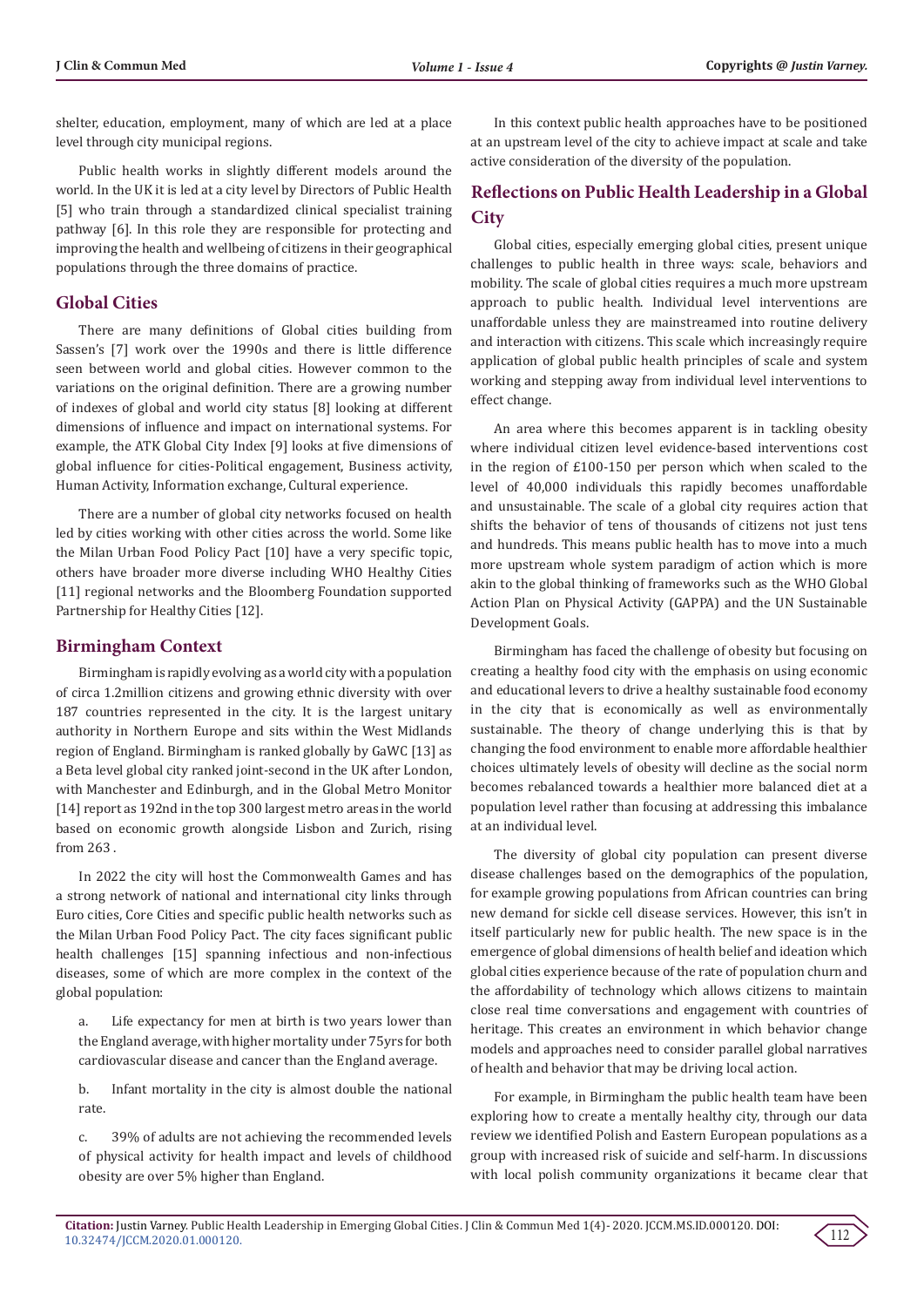shelter, education, employment, many of which are led at a place level through city municipal regions.

Public health works in slightly different models around the world. In the UK it is led at a city level by Directors of Public Health [5] who train through a standardized clinical specialist training pathway [6]. In this role they are responsible for protecting and improving the health and wellbeing of citizens in their geographical populations through the three domains of practice.

## **Global Cities**

There are many definitions of Global cities building from Sassen's [7] work over the 1990s and there is little difference seen between world and global cities. However common to the variations on the original definition. There are a growing number of indexes of global and world city status [8] looking at different dimensions of influence and impact on international systems. For example, the ATK Global City Index [9] looks at five dimensions of global influence for cities-Political engagement, Business activity, Human Activity, Information exchange, Cultural experience.

There are a number of global city networks focused on health led by cities working with other cities across the world. Some like the Milan Urban Food Policy Pact [10] have a very specific topic, others have broader more diverse including WHO Healthy Cities [11] regional networks and the Bloomberg Foundation supported Partnership for Healthy Cities [12].

## **Birmingham Context**

Birmingham is rapidly evolving as a world city with a population of circa 1.2million citizens and growing ethnic diversity with over 187 countries represented in the city. It is the largest unitary authority in Northern Europe and sits within the West Midlands region of England. Birmingham is ranked globally by GaWC [13] as a Beta level global city ranked joint-second in the UK after London, with Manchester and Edinburgh, and in the Global Metro Monitor [14] report as 192nd in the top 300 largest metro areas in the world based on economic growth alongside Lisbon and Zurich, rising from 263 .

In 2022 the city will host the Commonwealth Games and has a strong network of national and international city links through Euro cities, Core Cities and specific public health networks such as the Milan Urban Food Policy Pact. The city faces significant public health challenges [15] spanning infectious and non-infectious diseases, some of which are more complex in the context of the global population:

a. Life expectancy for men at birth is two years lower than the England average, with higher mortality under 75yrs for both cardiovascular disease and cancer than the England average.

b. Infant mortality in the city is almost double the national rate.

c. 39% of adults are not achieving the recommended levels of physical activity for health impact and levels of childhood obesity are over 5% higher than England.

In this context public health approaches have to be positioned at an upstream level of the city to achieve impact at scale and take active consideration of the diversity of the population.

# **Reflections on Public Health Leadership in a Global City**

Global cities, especially emerging global cities, present unique challenges to public health in three ways: scale, behaviors and mobility. The scale of global cities requires a much more upstream approach to public health. Individual level interventions are unaffordable unless they are mainstreamed into routine delivery and interaction with citizens. This scale which increasingly require application of global public health principles of scale and system working and stepping away from individual level interventions to effect change.

An area where this becomes apparent is in tackling obesity where individual citizen level evidence-based interventions cost in the region of £100-150 per person which when scaled to the level of 40,000 individuals this rapidly becomes unaffordable and unsustainable. The scale of a global city requires action that shifts the behavior of tens of thousands of citizens not just tens and hundreds. This means public health has to move into a much more upstream whole system paradigm of action which is more akin to the global thinking of frameworks such as the WHO Global Action Plan on Physical Activity (GAPPA) and the UN Sustainable Development Goals.

Birmingham has faced the challenge of obesity but focusing on creating a healthy food city with the emphasis on using economic and educational levers to drive a healthy sustainable food economy in the city that is economically as well as environmentally sustainable. The theory of change underlying this is that by changing the food environment to enable more affordable healthier choices ultimately levels of obesity will decline as the social norm becomes rebalanced towards a healthier more balanced diet at a population level rather than focusing at addressing this imbalance at an individual level.

The diversity of global city population can present diverse disease challenges based on the demographics of the population, for example growing populations from African countries can bring new demand for sickle cell disease services. However, this isn't in itself particularly new for public health. The new space is in the emergence of global dimensions of health belief and ideation which global cities experience because of the rate of population churn and the affordability of technology which allows citizens to maintain close real time conversations and engagement with countries of heritage. This creates an environment in which behavior change models and approaches need to consider parallel global narratives of health and behavior that may be driving local action.

For example, in Birmingham the public health team have been exploring how to create a mentally healthy city, through our data review we identified Polish and Eastern European populations as a group with increased risk of suicide and self-harm. In discussions with local polish community organizations it became clear that